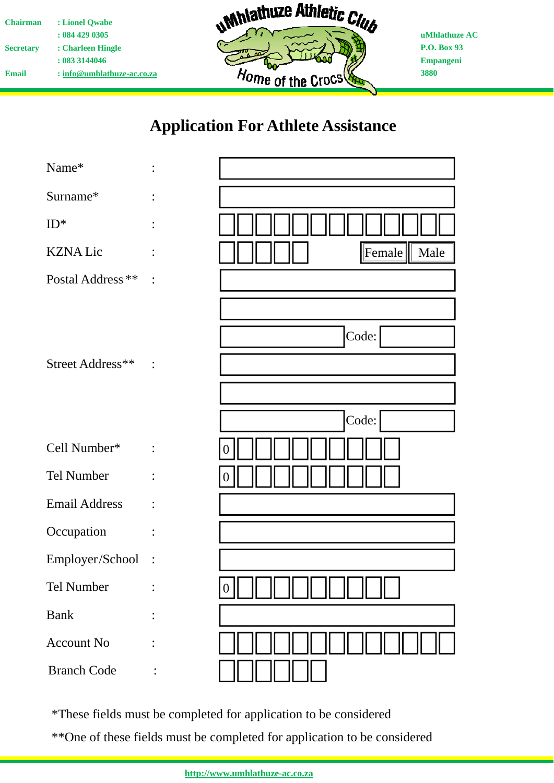| <b>Chairman</b>  | : Lionel Owabe               |
|------------------|------------------------------|
|                  | : 0844290305                 |
| <b>Secretary</b> | : Charleen Hingle            |
|                  | : 083 3144046                |
| Email            | $:$ info@umhlathuze-ac.co.za |



**uMhlathuze AC P.O. Box 93 Empangeni 3880** 

## **Application For Athlete Assistance**

| Name*                |                |                |
|----------------------|----------------|----------------|
| Surname*             |                |                |
| $ID^*$               |                |                |
| <b>KZNA Lic</b>      |                | Female<br>Male |
| Postal Address **    |                |                |
| Street Address**     |                | Code:          |
|                      |                |                |
|                      |                | Code:          |
| Cell Number*         |                |                |
| Tel Number           |                |                |
| <b>Email Address</b> |                |                |
| Occupation           |                |                |
| Employer/School      | $\ddot{\cdot}$ |                |
| Tel Number           |                |                |
| <b>Bank</b>          |                |                |
| <b>Account No</b>    |                |                |
| <b>Branch Code</b>   |                |                |

\*These fields must be completed for application to be considered

\*\*One of these fields must be completed for application to be considered